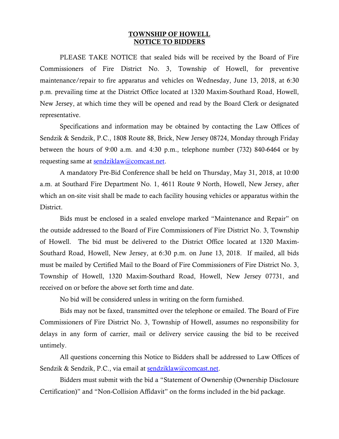## **TOWNSHIP OF HOWELL NOTICE TO BIDDERS**

PLEASE TAKE NOTICE that sealed bids will be received by the Board of Fire Commissioners of Fire District No. 3, Township of Howell, for preventive maintenance/repair to fire apparatus and vehicles on Wednesday, June 13, 2018, at 6:30 p.m. prevailing time at the District Office located at 1320 Maxim-Southard Road, Howell, New Jersey, at which time they will be opened and read by the Board Clerk or designated representative.

Specifications and information may be obtained by contacting the Law Offices of Sendzik & Sendzik, P.C., 1808 Route 88, Brick, New Jersey 08724, Monday through Friday between the hours of 9:00 a.m. and 4:30 p.m., telephone number (732) 840-6464 or by requesting same at [sendziklaw@comcast.net.](mailto:sendziklaw@comcast.net)

A mandatory Pre-Bid Conference shall be held on Thursday, May 31, 2018, at 10:00 a.m. at Southard Fire Department No. 1, 4611 Route 9 North, Howell, New Jersey, after which an on-site visit shall be made to each facility housing vehicles or apparatus within the District.

Bids must be enclosed in a sealed envelope marked "Maintenance and Repair" on the outside addressed to the Board of Fire Commissioners of Fire District No. 3, Township of Howell. The bid must be delivered to the District Office located at 1320 Maxim-Southard Road, Howell, New Jersey, at 6:30 p.m. on June 13, 2018. If mailed, all bids must be mailed by Certified Mail to the Board of Fire Commissioners of Fire District No. 3, Township of Howell, 1320 Maxim-Southard Road, Howell, New Jersey 07731, and received on or before the above set forth time and date.

No bid will be considered unless in writing on the form furnished.

Bids may not be faxed, transmitted over the telephone or emailed. The Board of Fire Commissioners of Fire District No. 3, Township of Howell, assumes no responsibility for delays in any form of carrier, mail or delivery service causing the bid to be received untimely.

All questions concerning this Notice to Bidders shall be addressed to Law Offices of Sendzik & Sendzik, P.C., via email at [sendziklaw@comcast.net.](mailto:sendziklaw@comcast.net)

Bidders must submit with the bid a "Statement of Ownership (Ownership Disclosure Certification)" and "Non-Collision Affidavit" on the forms included in the bid package.